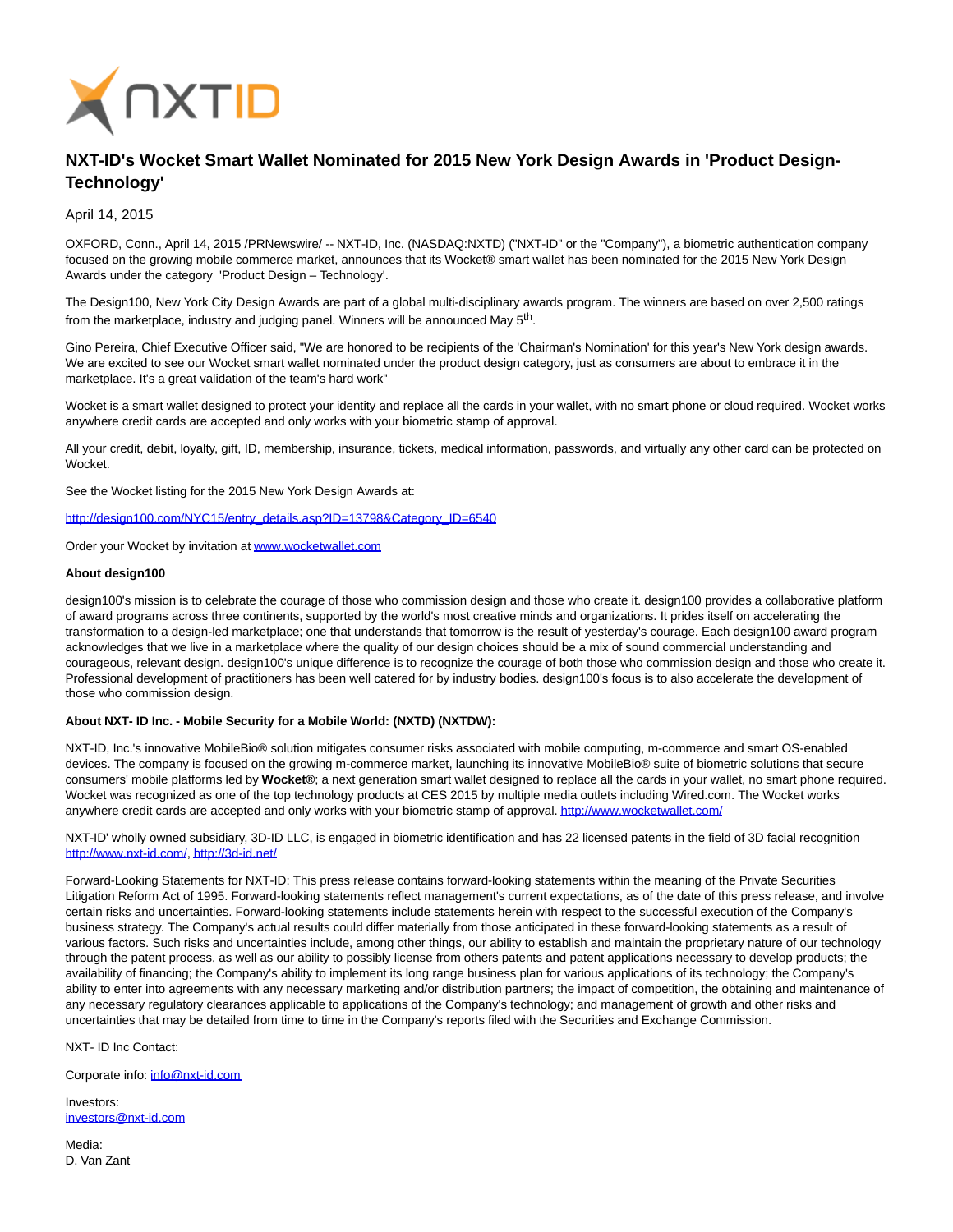

## **NXT-ID's Wocket Smart Wallet Nominated for 2015 New York Design Awards in 'Product Design-Technology'**

April 14, 2015

OXFORD, Conn., April 14, 2015 /PRNewswire/ -- NXT-ID, Inc. (NASDAQ:NXTD) ("NXT-ID" or the "Company"), a biometric authentication company focused on the growing mobile commerce market, announces that its Wocket® smart wallet has been nominated for the 2015 New York Design Awards under the category 'Product Design – Technology'.

The Design100, New York City Design Awards are part of a global multi-disciplinary awards program. The winners are based on over 2,500 ratings from the marketplace, industry and judging panel. Winners will be announced May 5th.

Gino Pereira, Chief Executive Officer said, "We are honored to be recipients of the 'Chairman's Nomination' for this year's New York design awards. We are excited to see our Wocket smart wallet nominated under the product design category, just as consumers are about to embrace it in the marketplace. It's a great validation of the team's hard work"

Wocket is a smart wallet designed to protect your identity and replace all the cards in your wallet, with no smart phone or cloud required. Wocket works anywhere credit cards are accepted and only works with your biometric stamp of approval.

All your credit, debit, loyalty, gift, ID, membership, insurance, tickets, medical information, passwords, and virtually any other card can be protected on Wocket.

See the Wocket listing for the 2015 New York Design Awards at:

[http://design100.com/NYC15/entry\\_details.asp?ID=13798&Category\\_ID=6540](http://design100.com/NYC15/entry_details.asp?ID=13798&Category_ID=6540)

Order your Wocket by invitation a[t www.wocketwallet.com](http://www.wocketwallet.com/)

## **About design100**

design100's mission is to celebrate the courage of those who commission design and those who create it. design100 provides a collaborative platform of award programs across three continents, supported by the world's most creative minds and organizations. It prides itself on accelerating the transformation to a design-led marketplace; one that understands that tomorrow is the result of yesterday's courage. Each design100 award program acknowledges that we live in a marketplace where the quality of our design choices should be a mix of sound commercial understanding and courageous, relevant design. design100's unique difference is to recognize the courage of both those who commission design and those who create it. Professional development of practitioners has been well catered for by industry bodies. design100's focus is to also accelerate the development of those who commission design.

## **About NXT- ID Inc. - Mobile Security for a Mobile World: (NXTD) (NXTDW):**

NXT-ID, Inc.'s innovative MobileBio® solution mitigates consumer risks associated with mobile computing, m-commerce and smart OS-enabled devices. The company is focused on the growing m-commerce market, launching its innovative MobileBio® suite of biometric solutions that secure consumers' mobile platforms led by **Wocket®**; a next generation smart wallet designed to replace all the cards in your wallet, no smart phone required. Wocket was recognized as one of the top technology products at CES 2015 by multiple media outlets including Wired.com. The Wocket works anywhere credit cards are accepted and only works with your biometric stamp of approval[. http://www.wocketwallet.com/](http://www.wocketwallet.com/)

NXT-ID' wholly owned subsidiary, 3D-ID LLC, is engaged in biometric identification and has 22 licensed patents in the field of 3D facial recognition [http://www.nxt-id.com/,](http://www.nxt-id.com/)<http://3d-id.net/>

Forward-Looking Statements for NXT-ID: This press release contains forward-looking statements within the meaning of the Private Securities Litigation Reform Act of 1995. Forward-looking statements reflect management's current expectations, as of the date of this press release, and involve certain risks and uncertainties. Forward-looking statements include statements herein with respect to the successful execution of the Company's business strategy. The Company's actual results could differ materially from those anticipated in these forward-looking statements as a result of various factors. Such risks and uncertainties include, among other things, our ability to establish and maintain the proprietary nature of our technology through the patent process, as well as our ability to possibly license from others patents and patent applications necessary to develop products; the availability of financing; the Company's ability to implement its long range business plan for various applications of its technology; the Company's ability to enter into agreements with any necessary marketing and/or distribution partners; the impact of competition, the obtaining and maintenance of any necessary regulatory clearances applicable to applications of the Company's technology; and management of growth and other risks and uncertainties that may be detailed from time to time in the Company's reports filed with the Securities and Exchange Commission.

NXT- ID Inc Contact:

Corporate info: [info@nxt-id.com](mailto:info@nxt-id.com)

Investors: [investors@nxt-id.com](mailto:investors@nxt-id.com)

Media: D. Van Zant